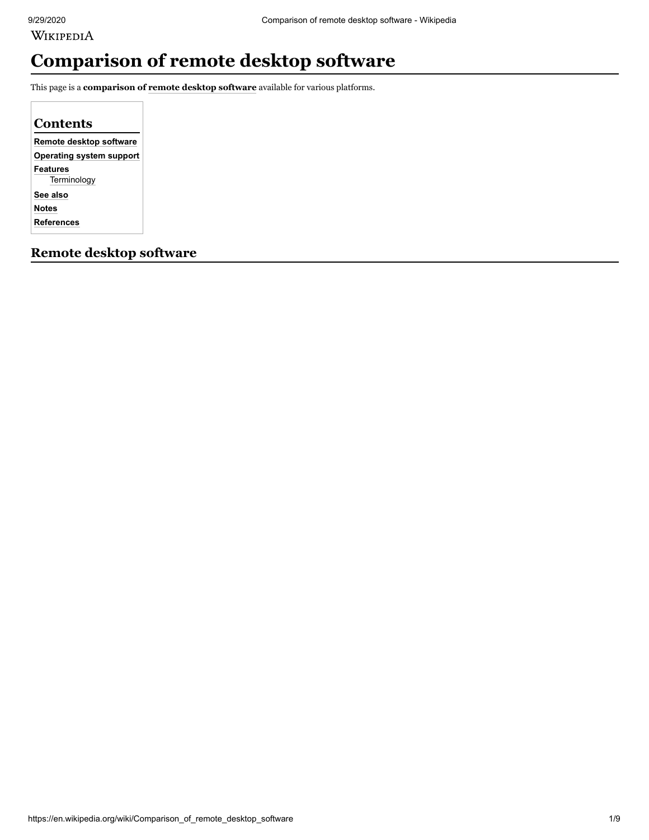WIKIPEDIA

# **Comparison of remote desktop software**

This page is a **comparison of [remote desktop software](https://en.wikipedia.org/wiki/Remote_desktop_software)** available for various platforms.

**[Remote desktop software](#page-0-0) [Operating system support](#page-2-0) [Features](#page-4-0) [Terminology](#page-6-0) [See also](#page-7-0) [Notes](#page-7-1) [References](#page-7-2) Contents**

<span id="page-0-0"></span>**Remote desktop software**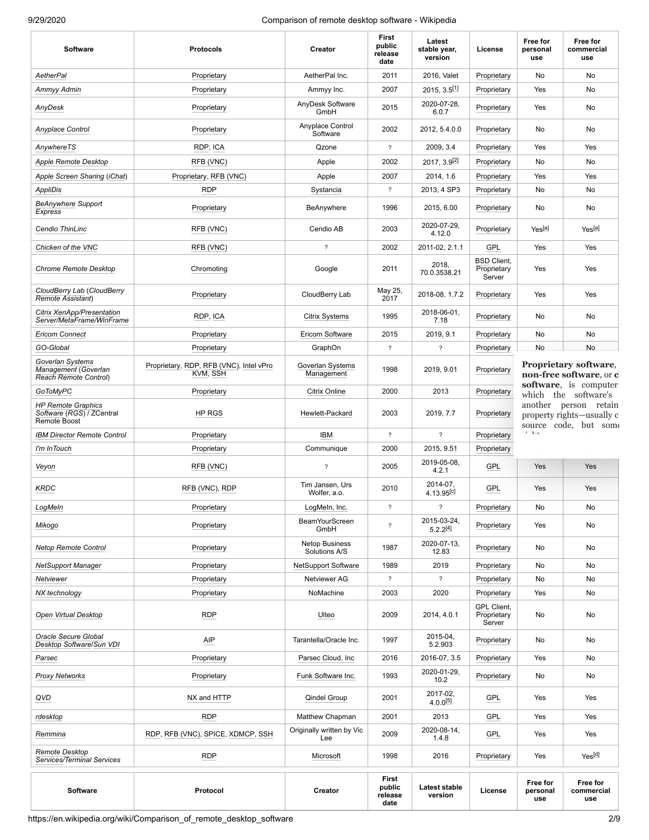| <b>Software</b>                                                        | <b>Protocols</b>                                    | Creator                                | <b>First</b><br>public<br>release<br>date | Latest<br>stable year,<br>version               | License                                     | Free for<br>personal<br>use                                                              | Free for<br>commercial<br>use                                               |  |  |
|------------------------------------------------------------------------|-----------------------------------------------------|----------------------------------------|-------------------------------------------|-------------------------------------------------|---------------------------------------------|------------------------------------------------------------------------------------------|-----------------------------------------------------------------------------|--|--|
| <b>AetherPal</b>                                                       | Proprietary                                         | AetherPal Inc.                         | 2011                                      | 2016, Valet                                     | Proprietary                                 | No                                                                                       | No                                                                          |  |  |
| Ammyy Admin                                                            | Proprietary                                         | Ammyy Inc.                             | 2007                                      | $2015, 3.5$ <sup>[1]</sup>                      | Proprietary                                 | Yes                                                                                      | No                                                                          |  |  |
| AnyDesk                                                                | Proprietary                                         | AnyDesk Software<br>GmbH               | 2015                                      | 2020-07-28,<br>6.0.7                            | Proprietary                                 | Yes                                                                                      | No                                                                          |  |  |
| Anyplace Control                                                       | Proprietary                                         | Anyplace Control<br>Software           | 2002                                      | 2012, 5.4.0.0                                   | Proprietary                                 | No                                                                                       | No                                                                          |  |  |
| AnywhereTS                                                             | RDP, ICA                                            | Qzone                                  | $\overline{\mathcal{E}}$                  | 2009, 3.4                                       | Proprietary                                 | Yes                                                                                      | Yes                                                                         |  |  |
| Apple Remote Desktop                                                   | RFB (VNC)                                           | Apple                                  | 2002                                      | 2017, 3.9 기                                     | Proprietary                                 | No                                                                                       | No                                                                          |  |  |
| Apple Screen Sharing (iChat)                                           | Proprietary, RFB (VNC)                              | Apple                                  | 2007                                      | 2014, 1.6                                       | Proprietary                                 | Yes                                                                                      | Yes                                                                         |  |  |
| AppliDis                                                               | <b>RDP</b>                                          | Systancia                              | $\overline{\mathcal{E}}$                  | 2013, 4 SP3                                     | Proprietary                                 | No                                                                                       | No                                                                          |  |  |
| <b>BeAnywhere Support</b><br>Express                                   | Proprietary                                         | BeAnywhere                             | 1996                                      | 2015, 6.00                                      | Proprietary                                 | No                                                                                       | No                                                                          |  |  |
| Cendio ThinLinc                                                        | RFB (VNC)                                           | Cendio AB                              | 2003                                      | 2020-07-29,<br>4.12.0                           | Proprietary                                 | Yes <sup>[a]</sup>                                                                       | Yes <sup>[a]</sup>                                                          |  |  |
| Chicken of the VNC                                                     | RFB (VNC)                                           | $\overline{\mathcal{E}}$               | 2002                                      | 2011-02, 2.1.1                                  | GPL                                         | Yes                                                                                      | Yes                                                                         |  |  |
| <b>Chrome Remote Desktop</b>                                           | Chromoting                                          | Google                                 | 2011                                      | 2018,<br>70.0.3538.21                           | <b>BSD Client,</b><br>Proprietary<br>Server | Yes                                                                                      | Yes                                                                         |  |  |
| CloudBerry Lab (CloudBerry<br><b>Remote Assistant</b> )                | Proprietary                                         | CloudBerry Lab                         | May 25,<br>2017                           | 2018-08, 1.7.2                                  | Proprietary                                 | Yes                                                                                      | Yes                                                                         |  |  |
| Citrix XenApp/Presentation<br>Server/MetaFrame/WinFrame                | RDP, ICA                                            | <b>Citrix Systems</b>                  | 1995                                      | 2018-06-01,<br>7.18                             | Proprietary                                 | No                                                                                       | No.                                                                         |  |  |
| <b>Ericom Connect</b>                                                  | Proprietary                                         | Ericom Software                        | 2015                                      | 2019, 9.1                                       | Proprietary                                 | No                                                                                       | No                                                                          |  |  |
| GO-Global                                                              | Proprietary                                         | GraphOn                                | $\overline{\phantom{a}}$                  | $\overline{\phantom{0}}$                        | Proprietary                                 | No                                                                                       | <b>No</b>                                                                   |  |  |
| Goverlan Systems<br>Management (Goverlan<br>Reach Remote Control)      | Proprietary, RDP, RFB (VNC), Intel vPro<br>KVM, SSH | Goverlan Systems<br>Management         | 1998                                      | 2019, 9.01                                      | Proprietary                                 | <b>Proprietary software,</b><br>non-free software, or c<br><b>software</b> , is computer |                                                                             |  |  |
| GoToMyPC                                                               | Proprietary                                         | Citrix Online                          | 2000                                      | 2013                                            | Proprietary                                 |                                                                                          | which the software's                                                        |  |  |
| <b>HP Remote Graphics</b><br>Software (RGS) / ZCentral<br>Remote Boost | HP RGS                                              | Hewlett-Packard                        | 2003                                      | 2019, 7.7                                       | Proprietary                                 |                                                                                          | another person retain<br>property rights—usually c<br>source code, but some |  |  |
| <b>IBM Director Remote Control</b>                                     | Proprietary                                         | <b>IBM</b>                             | $\overline{\mathcal{L}}$                  | $\overline{\mathbf{?}}$                         | Proprietary                                 | $2 - 1.4$                                                                                |                                                                             |  |  |
| I'm InTouch                                                            | Proprietary                                         | Communique                             | 2000                                      | 2015, 9.51                                      | Proprietary                                 |                                                                                          |                                                                             |  |  |
| Veyon                                                                  | RFB (VNC)                                           | $\overline{\mathcal{E}}$               | 2005                                      | 2019-05-08,<br>GPL<br>4.2.1                     |                                             | Yes                                                                                      | Yes                                                                         |  |  |
| <b>KRDC</b>                                                            | RFB (VNC), RDP                                      | Tim Jansen, Urs<br>Wolfer, a.o.        | 2010                                      | 2014-07,<br><b>GPL</b><br>4.13.95 <sup>[이</sup> |                                             | Yes                                                                                      | Yes                                                                         |  |  |
| LogMeln                                                                | Proprietary                                         | LogMeIn, Inc.                          | $\overline{\phantom{a}}$                  | $\boldsymbol{\hat{?}}$                          | Proprietary                                 | No                                                                                       | No                                                                          |  |  |
| Mikogo                                                                 | Proprietary                                         | <b>BeamYourScreen</b><br>GmbH          | $\overline{\phantom{a}}$                  | 2015-03-24,<br>$5.2.2^{[4]}$                    | Proprietary                                 | Yes                                                                                      | No                                                                          |  |  |
| <b>Netop Remote Control</b>                                            | Proprietary                                         | <b>Netop Business</b><br>Solutions A/S | 1987                                      | 2020-07-13,<br>12.83                            | Proprietary                                 | No                                                                                       | No                                                                          |  |  |
| <b>NetSupport Manager</b>                                              | Proprietary                                         | <b>NetSupport Software</b>             | 1989                                      | 2019                                            | Proprietary                                 | No                                                                                       | No                                                                          |  |  |
| Netviewer                                                              | Proprietary                                         | Netviewer AG                           | $\overline{\mathcal{E}}$                  | $\overline{?}$                                  | Proprietary                                 | No                                                                                       | No                                                                          |  |  |
| NX technology                                                          | Proprietary                                         | NoMachine                              | 2003                                      | 2020                                            | Proprietary                                 | Yes                                                                                      | No                                                                          |  |  |
| Open Virtual Desktop                                                   | <b>RDP</b>                                          | Ulteo                                  | 2009                                      | 2014, 4.0.1                                     | GPL Client,<br>Proprietary<br>Server        | No                                                                                       | No                                                                          |  |  |
| Oracle Secure Global<br>Desktop Software/Sun VDI                       | AIP                                                 | Tarantella/Oracle Inc.                 | 1997                                      | 2015-04,<br>5.2.903                             | Proprietary                                 | No                                                                                       | No                                                                          |  |  |
| Parsec                                                                 | Proprietary                                         | Parsec Cloud, Inc.                     | 2016                                      | 2016-07, 3.5                                    | Proprietary                                 | Yes                                                                                      | No                                                                          |  |  |
| <b>Proxy Networks</b>                                                  | Proprietary                                         | Funk Software Inc.                     | 1993                                      | 2020-01-29,<br>10.2                             | Proprietary                                 | No                                                                                       | No                                                                          |  |  |
| QVD                                                                    | NX and HTTP                                         | Qindel Group                           | 2001                                      | 2017-02,<br>$4.0.0^{[5]}$                       | GPL                                         | Yes                                                                                      | Yes                                                                         |  |  |
| rdesktop                                                               | <b>RDP</b>                                          | Matthew Chapman                        | 2001                                      | 2013                                            | <b>GPL</b>                                  | Yes                                                                                      | Yes                                                                         |  |  |
| Remmina                                                                | RDP, RFB (VNC), SPICE, XDMCP, SSH                   | Originally written by Vic<br>Lee       | 2009                                      | 2020-08-14,<br>1.4.8                            | GPL                                         | Yes                                                                                      | Yes                                                                         |  |  |
| Remote Desktop<br>Services/Terminal Services                           | <b>RDP</b>                                          | Microsoft                              | 1998                                      | 2016                                            | Proprietary                                 | Yes                                                                                      | Yes <sup>[d]</sup>                                                          |  |  |
| Software                                                               | Protocol                                            | Creator                                | First<br>public<br>release<br>date        | Latest stable<br>version                        | License                                     | Free for<br>personal<br>use                                                              | Free for<br>commercial<br>use                                               |  |  |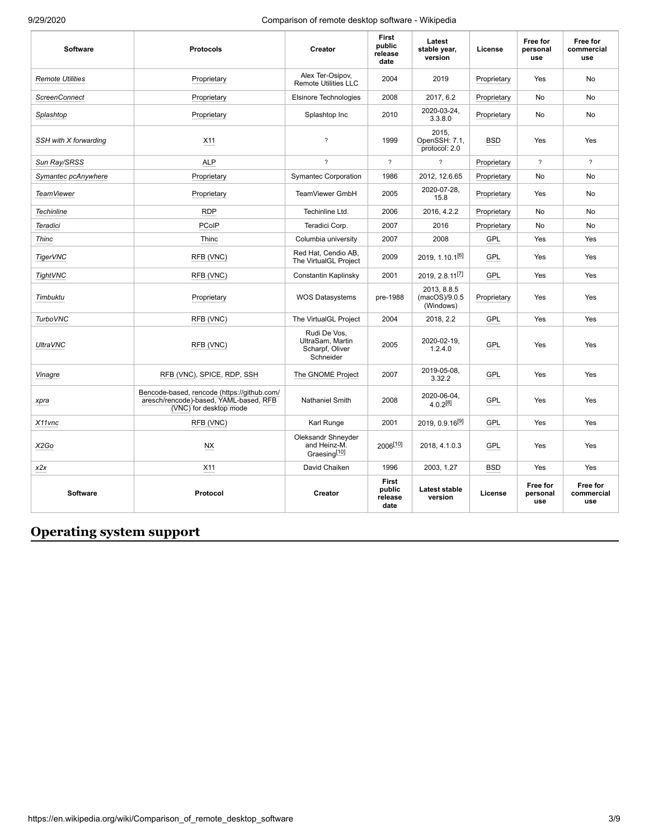| <b>Software</b>         | <b>Protocols</b>                                                                                                | Creator                                                          | First<br>public<br>release<br>date | Latest<br>stable year,<br>version         | License     | Free for<br>personal<br>use | Free for<br>commercial<br>use |
|-------------------------|-----------------------------------------------------------------------------------------------------------------|------------------------------------------------------------------|------------------------------------|-------------------------------------------|-------------|-----------------------------|-------------------------------|
| <b>Remote Utilities</b> | Proprietary                                                                                                     | Alex Ter-Osipov,<br><b>Remote Utilities LLC</b>                  | 2004                               | 2019                                      | Proprietary | Yes                         | No                            |
| <b>ScreenConnect</b>    | Proprietary                                                                                                     | <b>Elsinore Technologies</b>                                     | 2008                               | 2017, 6.2                                 | Proprietary | No                          | No                            |
| Splashtop               | Proprietary                                                                                                     | Splashtop Inc                                                    | 2010                               | 2020-03-24,<br>3.3.8.0                    | Proprietary | No                          | No                            |
| SSH with X forwarding   | X11                                                                                                             | $\overline{\phantom{0}}$                                         | 1999                               | 2015.<br>OpenSSH: 7.1,<br>protocol: 2.0   | <b>BSD</b>  | Yes                         | Yes                           |
| Sun Ray/SRSS            | <b>ALP</b>                                                                                                      | $\overline{\phantom{a}}$                                         | $\overline{\phantom{a}}$           | $\overline{\phantom{a}}$                  | Proprietary | $\overline{\phantom{a}}$    | $\overline{\phantom{a}}$      |
| Symantec pcAnywhere     | Proprietary                                                                                                     | <b>Symantec Corporation</b>                                      | 1986                               | 2012, 12.6.65                             | Proprietary | No                          | No                            |
| <b>TeamViewer</b>       | Proprietary                                                                                                     | TeamViewer GmbH                                                  | 2005                               | 2020-07-28,<br>15.8                       | Proprietary | Yes                         | No                            |
| <b>Techinline</b>       | <b>RDP</b>                                                                                                      | Techinline Ltd.                                                  | 2006                               | 2016, 4.2.2                               | Proprietary | No                          | <b>No</b>                     |
| Teradici                | <b>PCoIP</b>                                                                                                    | Teradici Corp.                                                   | 2007                               | 2016                                      | Proprietary | No                          | No                            |
| <b>Thinc</b>            | Thinc                                                                                                           | Columbia university                                              | 2007                               | 2008                                      | GPL         | Yes                         | Yes                           |
| TigerVNC                | RFB (VNC)                                                                                                       | Red Hat, Cendio AB,<br>The VirtualGL Project                     | 2009                               | 2019, 1.10.1 <sup>[6]</sup>               |             | Yes                         | Yes                           |
| TightVNC                | RFB (VNC)                                                                                                       | Constantin Kaplinsky                                             | 2001                               | 2019, 2.8.11                              | GPL         | Yes                         | Yes                           |
| Timbuktu                | Proprietary                                                                                                     | <b>WOS Datasystems</b>                                           | pre-1988                           | 2013, 8.8.5<br>(macOS)/9.0.5<br>(Windows) | Proprietary | Yes                         | Yes                           |
| <b>TurboVNC</b>         | RFB (VNC)                                                                                                       | The VirtualGL Project                                            | 2004                               | 2018, 2.2                                 | <b>GPL</b>  | Yes                         | Yes                           |
| <b>UltraVNC</b>         | RFB (VNC)                                                                                                       | Rudi De Vos,<br>UltraSam, Martin<br>Scharpf, Oliver<br>Schneider | 2005                               | 2020-02-19.<br>1.2.4.0                    | GPL         | Yes                         | Yes                           |
| Vinagre                 | RFB (VNC), SPICE, RDP, SSH                                                                                      | The GNOME Project                                                | 2007                               | 2019-05-08,<br>3.32.2                     | <b>GPL</b>  | Yes                         | Yes                           |
| xpra                    | Bencode-based, rencode (https://github.com/<br>aresch/rencode)-based, YAML-based, RFB<br>(VNC) for desktop mode | <b>Nathaniel Smith</b>                                           | 2008                               | 2020-06-04,<br>$4.0.2^{[8]}$              | GPL         | Yes                         | Yes                           |
| X11vnc                  | RFB (VNC)                                                                                                       | Karl Runge                                                       | 2001                               | $2019, 0.9.16^{[9]}$                      | GPL         | Yes                         | Yes                           |
| X <sub>2</sub> Go       | <b>NX</b>                                                                                                       | Oleksandr Shneyder<br>and Heinz-M.<br>Graesing <sup>[10]</sup>   | 2006 <sup>[10]</sup>               | 2018, 4.1.0.3                             | GPL         | Yes                         | Yes                           |
| x2x                     | X11                                                                                                             | David Chaiken                                                    | 1996                               | 2003, 1.27                                | <b>BSD</b>  | Yes                         | Yes                           |
| <b>Software</b>         | Protocol                                                                                                        | Creator                                                          | First<br>public<br>release<br>date | <b>Latest stable</b><br>version           | License     | Free for<br>personal<br>use | Free for<br>commercial<br>use |

## <span id="page-2-0"></span>**Operating system support**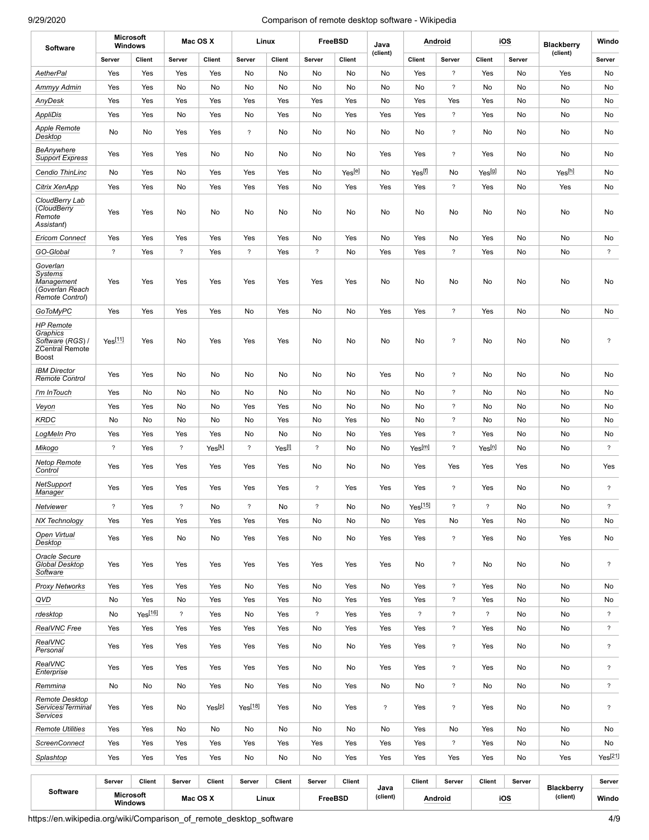| Software                                                                                   | <b>Microsoft</b><br><b>Windows</b> |                     | Mac OS X                 |                    |                          | Linux             | <b>FreeBSD</b>           |         | Java             |                          | Android                    |                | iOS    | <b>Blackberry</b><br>(client) |                          |
|--------------------------------------------------------------------------------------------|------------------------------------|---------------------|--------------------------|--------------------|--------------------------|-------------------|--------------------------|---------|------------------|--------------------------|----------------------------|----------------|--------|-------------------------------|--------------------------|
|                                                                                            | Server                             | Client              | Server                   | Client             | Server                   | Client            | Server                   | Client  | (client)         | Client                   | Server                     | <b>Client</b>  | Server |                               | Server                   |
| AetherPal                                                                                  | Yes                                | Yes                 | Yes                      | Yes                | No                       | No                | No                       | No      | No               | Yes                      | $\overline{?}$             | Yes            | No     | Yes                           | No                       |
| Ammyy Admin                                                                                | Yes                                | Yes                 | No                       | No                 | No                       | No                | No                       | No      | No               | No                       | $\overline{?}$             | No             | No     | No                            | No                       |
| AnyDesk                                                                                    | Yes                                | Yes                 | Yes                      | Yes                | Yes                      | Yes               | Yes                      | Yes     | No               | Yes                      | Yes                        | Yes            | No     | No                            | No                       |
| AppliDis                                                                                   | Yes                                | Yes                 | No                       | Yes                | No                       | Yes               | No                       | Yes     | Yes              | Yes                      | $\overline{\phantom{a}}$   | Yes            | No     | No                            | No                       |
| <b>Apple Remote</b><br>Desktop                                                             | No                                 | No                  | Yes                      | Yes                | $\overline{\mathcal{E}}$ | No                | No                       | No      | No               | No                       | $\boldsymbol{\hat{?}}$     | No             | No     | No                            | No                       |
| BeAnywhere<br><b>Support Express</b>                                                       | Yes                                | Yes                 | Yes                      | No                 | No                       | No                | No                       | No      | Yes              | Yes                      | $\overline{?}$             | Yes            | No     | No                            | No                       |
| Cendio ThinLinc                                                                            | No                                 | Yes                 | No                       | Yes                | Yes                      | Yes               | No                       | Yes[e]  | No               | Yes <sup>[f]</sup>       | No                         | Yes[9]         | No     | Yes[h]                        | No                       |
| Citrix XenApp                                                                              | Yes                                | Yes                 | No                       | Yes                | Yes                      | Yes               | No                       | Yes     | Yes              | Yes                      | $\gamma$                   | Yes            | No     | Yes                           | No                       |
| CloudBerry Lab<br>(CloudBerry<br>Remote<br>Assistant)                                      | Yes                                | Yes                 | No                       | No                 | No                       | No                | No                       | No      | No               | No                       | No                         | No             | No     | No                            | No                       |
| <b>Ericom Connect</b>                                                                      | Yes                                | Yes                 | Yes                      | Yes                | Yes                      | Yes               | No                       | Yes     | No               | Yes                      | No                         | Yes            | No     | No                            | No                       |
| GO-Global                                                                                  | $\overline{\phantom{a}}$           | Yes                 | $\overline{\phantom{a}}$ | Yes                | $\overline{\mathcal{E}}$ | Yes               | $\boldsymbol{\hat{?}}$   | No      | Yes              | Yes                      | $\tilde{?}$                | Yes            | No     | No                            | $\overline{\mathcal{E}}$ |
| Goverlan<br><b>Systems</b><br>Management<br>(Goverlan Reach<br>Remote Control)             | Yes                                | Yes                 | Yes                      | Yes                | Yes                      | Yes               | Yes                      | Yes     | No               | No                       | No                         | No             | No     | No                            | No                       |
| <b>GoToMyPC</b>                                                                            | Yes                                | Yes                 | Yes                      | Yes                | No                       | Yes               | No                       | No      | Yes              | Yes                      | $\overline{\phantom{a}}$   | Yes            | No     | No                            | No                       |
| <b>HP</b> Remote<br><b>Graphics</b><br>Software (RGS) /<br><b>ZCentral Remote</b><br>Boost | $Yes^{[11]}$                       | Yes                 | No                       | Yes                | Yes                      | Yes               | No                       | No      | No               | No                       | $\boldsymbol{\mathcal{P}}$ | No             | No     | No                            | $\overline{\phantom{a}}$ |
| <b>IBM Director</b><br><b>Remote Control</b>                                               | Yes                                | Yes                 | No                       | No                 | No                       | No                | No                       | No      | Yes              | No                       | $\overline{\phantom{a}}$   | No             | No     | No                            | No                       |
| I'm InTouch                                                                                | Yes                                | No                  | No                       | No                 | No                       | No                | No                       | No      | No               | No                       | $\gamma$                   | No             | No     | No                            | No                       |
| Veyon                                                                                      | Yes                                | Yes                 | No                       | No                 | Yes                      | Yes               | No                       | No      | No               | No                       | $\boldsymbol{\hat{?}}$     | No             | No     | No                            | No                       |
| <b>KRDC</b>                                                                                | No                                 | No                  | No                       | No                 | No                       | Yes               | No                       | Yes     | No               | No                       | $\overline{\phantom{a}}$   | No             | No     | No                            | No                       |
| LogMeIn Pro                                                                                | Yes                                | Yes                 | Yes                      | Yes                | No                       | No                | No                       | No      | Yes              | Yes                      | $\gamma$                   | Yes            | No     | No                            | No                       |
| Mikogo                                                                                     | $\boldsymbol{\mathcal{P}}$         | Yes                 | $\overline{\phantom{a}}$ | Yes[k]             | $\overline{\mathcal{E}}$ | Yes <sup>[]</sup> | $\boldsymbol{\hat{?}}$   | No      | No               | Yes <sup>[m]</sup>       | $\overline{?}$             | Yes[n]         | No     | No                            | $\tilde{?}$              |
| <b>Netop Remote</b><br>Control                                                             | Yes                                | Yes                 | Yes                      | Yes                | Yes                      | Yes               | No                       | No      | No               | Yes                      | Yes                        | Yes            | Yes    | No                            | Yes                      |
| NetSupport<br>Manager                                                                      | Yes                                | Yes                 | Yes                      | Yes                | Yes                      | Yes               | $\tilde{?}$              | Yes     | Yes              | Yes                      | $\tilde{?}$                | Yes            | No     | No                            | $\tilde{?}$              |
| Netviewer                                                                                  | $\overline{?}$                     | Yes                 | $\overline{?}$           | No                 | $\overline{?}$           | No                | $\overline{\phantom{a}}$ | No      | No               | Yes <sup>[15]</sup>      | $\overline{\phantom{a}}$   | $\overline{?}$ | No     | No                            | $\overline{\mathcal{E}}$ |
| NX Technology                                                                              | Yes                                | Yes                 | Yes                      | Yes                | Yes                      | Yes               | No                       | No      | No               | Yes                      | No                         | Yes            | No     | No                            | No                       |
| Open Virtual<br>Desktop                                                                    | Yes                                | Yes                 | No                       | No                 | Yes                      | Yes               | No                       | No      | Yes              | Yes                      | $\gamma$                   | Yes            | No     | Yes                           | No                       |
| Oracle Secure<br><b>Global Desktop</b><br>Software                                         | Yes                                | Yes                 | Yes                      | Yes                | Yes                      | Yes               | Yes                      | Yes     | Yes              | No                       | $\gamma$                   | No             | No     | No                            | $\tilde{?}$              |
| <b>Proxy Networks</b>                                                                      | Yes                                | Yes                 | Yes                      | Yes                | No                       | Yes               | No                       | Yes     | No               | Yes                      | $\gamma$                   | Yes            | No     | No                            | No                       |
| QVD                                                                                        | No                                 | Yes                 | No                       | Yes                | Yes                      | Yes               | No                       | Yes     | Yes              | Yes                      | $\overline{\mathcal{E}}$   | Yes            | No     | No                            | No                       |
| rdesktop                                                                                   | No                                 | Yes <sup>[16]</sup> | $\overline{?}$           | Yes                | No                       | Yes               | $\overline{\mathcal{E}}$ | Yes     | Yes              | $\overline{\mathcal{E}}$ | $\overline{\mathcal{E}}$   | $\overline{?}$ | No     | No                            | $\overline{\mathcal{E}}$ |
| RealVNC Free                                                                               | Yes                                | Yes                 | Yes                      | Yes                | Yes                      | Yes               | No                       | Yes     | Yes              | Yes                      | $\overline{?}$             | Yes            | No     | No                            | $\overline{\mathcal{E}}$ |
| RealVNC<br>Personal                                                                        | Yes                                | Yes                 | Yes                      | Yes                | Yes                      | Yes               | No                       | No      | Yes              | Yes                      | $\overline{?}$             | Yes            | No     | No                            | $\gamma$                 |
| RealVNC<br>Enterprise                                                                      | Yes                                | Yes                 | Yes                      | Yes                | Yes                      | Yes               | No                       | No      | Yes              | Yes                      | $\overline{\mathcal{E}}$   | Yes            | No     | No                            | $\overline{\mathcal{E}}$ |
| Remmina                                                                                    | No                                 | No                  | No                       | Yes                | No                       | Yes               | No                       | Yes     | No               | No                       | $\gamma$                   | No             | No     | No                            | $\overline{\mathcal{E}}$ |
| Remote Desktop<br>Services/Terminal<br><b>Services</b>                                     | Yes                                | Yes                 | No                       | Yesl <sup>pl</sup> | Yes <sup>[18]</sup>      | Yes               | No                       | Yes     | $\tilde{?}$      | Yes                      | $\gamma$                   | Yes            | No     | No                            | $\tilde{?}$              |
| <b>Remote Utilities</b>                                                                    | Yes                                | Yes                 | No                       | No                 | No                       | No                | No                       | No      | No               | Yes                      | No                         | Yes            | No     | No                            | No                       |
| <b>ScreenConnect</b>                                                                       | Yes                                | Yes                 | Yes                      | Yes                | Yes                      | Yes               | Yes                      | Yes     | Yes              | Yes                      | $\overline{?}$             | Yes            | No     | No                            | No                       |
| Splashtop                                                                                  | Yes                                | Yes                 | Yes                      | Yes                | No                       | No                | No                       | Yes     | Yes              | Yes                      | Yes                        | Yes            | No     | Yes                           | $Yes^{[21]}$             |
|                                                                                            | Server                             | <b>Client</b>       | Server                   | Client             | Server                   | <b>Client</b>     | Server                   | Client  |                  | Client                   | Server                     | <b>Client</b>  | Server |                               | Server                   |
| <b>Software</b>                                                                            | <b>Microsoft</b><br><b>Windows</b> |                     | Mac OS X                 |                    |                          | Linux             |                          | FreeBSD | Java<br>(client) |                          | Android                    |                | iOS    | <b>Blackberry</b><br>(client) | Windo                    |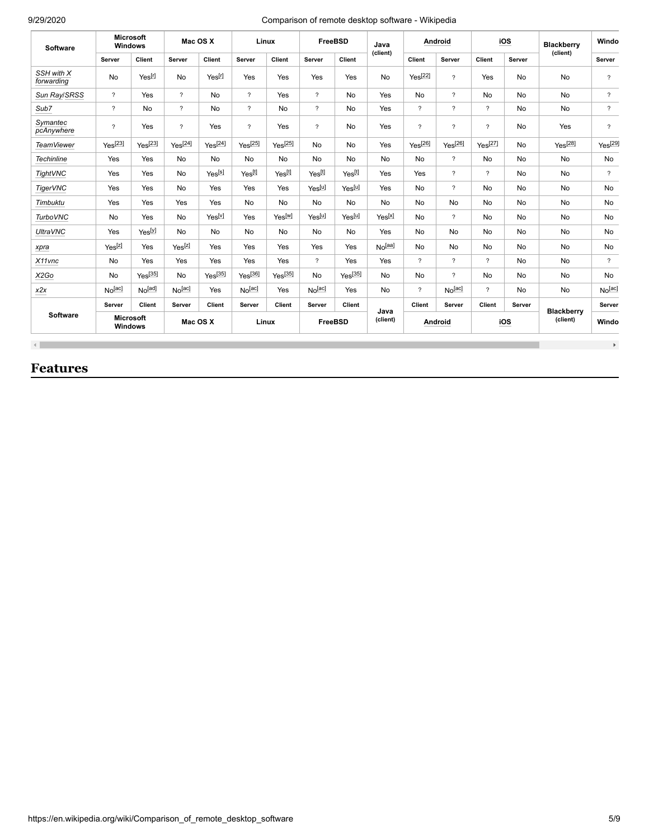| Software                 | <b>Microsoft</b><br>Windows |                                         | Mac OS X           |                    | Linux                    |                    | <b>FreeBSD</b>           |                    | Java<br>(client)   | Android             |                          | iOS                      |                               | <b>Blackberry</b><br>(client) | Windo                    |
|--------------------------|-----------------------------|-----------------------------------------|--------------------|--------------------|--------------------------|--------------------|--------------------------|--------------------|--------------------|---------------------|--------------------------|--------------------------|-------------------------------|-------------------------------|--------------------------|
|                          | Server                      | Client                                  | Server             | Client             | Server                   | Client             | Server                   | Client             |                    | Client              | Server                   | Client                   | Server                        |                               | Server                   |
| SSH with X<br>forwarding | No                          | Yes <sup>[r]</sup>                      | No                 | Yes <sup>[r]</sup> | Yes                      | Yes                | Yes                      | Yes                | No                 | Yes <sup>[22]</sup> | $\overline{\phantom{a}}$ | Yes                      | No                            | No                            | $\overline{\phantom{a}}$ |
| Sun Ray/SRSS             | $\overline{?}$              | Yes                                     | $\overline{?}$     | No                 | $\overline{?}$           | Yes                | $\overline{?}$           | <b>No</b>          | Yes                | <b>No</b>           | $\gamma$                 | No                       | No                            | No                            | $\overline{?}$           |
| Sub7                     | $\tilde{?}$                 | <b>No</b>                               | $\gamma$           | No                 | $\overline{\mathcal{E}}$ | No                 | $\overline{\phantom{0}}$ | No                 | Yes                | $\gamma$            | $\gamma$                 | $\overline{?}$           | No                            | No                            | $\overline{?}$           |
| Symantec<br>pcAnywhere   | $\overline{\phantom{0}}$    | Yes                                     | $\gamma$           | Yes                | $\overline{\phantom{a}}$ | Yes                | $\overline{\mathcal{E}}$ | <b>No</b>          | Yes                | $\gamma$            | $\overline{\mathcal{E}}$ | $\overline{\mathcal{L}}$ | No                            | Yes                           | $\overline{\phantom{a}}$ |
| <b>TeamViewer</b>        | $Yes^{[23]}$                | $Yes^{[23]}$                            | $Yes^{[24]}$       | $Yes^{[24]}$       | $Yes^{[25]}$             | $Yes^{[25]}$       | No                       | <b>No</b>          | Yes                | $Yes^{[26]}$        | $Yes^{[26]}$             | $Yes^{[27]}$             | No                            | $Yes^{[28]}$                  | Yes <sup>[29]</sup>      |
| <b>Techinline</b>        | Yes                         | Yes                                     | No                 | No                 | <b>No</b>                | No                 | <b>No</b>                | <b>No</b>          | No                 | <b>No</b>           | $\overline{?}$           | <b>No</b>                | No                            | No                            | No                       |
| <b>TightVNC</b>          | Yes                         | Yes                                     | No                 | Yes <sup>[s]</sup> | Yes[t]                   | Yes[t]             | Yes <sup>[t]</sup>       | Yes[t]             | Yes                | Yes                 | $\overline{?}$           | $\gamma$                 | No                            | No                            | $\overline{?}$           |
| <b>TigerVNC</b>          | Yes                         | Yes                                     | No                 | Yes                | Yes                      | Yes                | Yes <sup>[u]</sup>       | Yes <sup>[u]</sup> | Yes                | <b>No</b>           | $\overline{?}$           | No                       | No                            | <b>No</b>                     | <b>No</b>                |
| Timbuktu                 | Yes                         | Yes                                     | Yes                | Yes                | No                       | No                 | <b>No</b>                | <b>No</b>          | No                 | <b>No</b>           | No                       | No                       | No                            | No                            | No                       |
| <b>TurboVNC</b>          | No                          | Yes                                     | No                 | Yes <sup>[v]</sup> | Yes                      | Yes <sup>[w]</sup> | Yes[u]                   | Yes <sup>[u]</sup> | Yes <sup>[X]</sup> | <b>No</b>           | $\gamma$                 | No                       | No                            | No                            | No                       |
| <b>UltraVNC</b>          | Yes                         | Yes <sup>[y]</sup>                      | No                 | No                 | No                       | No                 | No                       | <b>No</b>          | Yes                | <b>No</b>           | No                       | No                       | No                            | No                            | No                       |
| xpra                     | Yes <sup>[z]</sup>          | Yes                                     | Yes <sup>[2]</sup> | Yes                | Yes                      | Yes                | Yes                      | Yes                | No <sub>[aa]</sub> | <b>No</b>           | No                       | No                       | No                            | <b>No</b>                     | <b>No</b>                |
| X11vnc                   | <b>No</b>                   | Yes                                     | Yes                | Yes                | Yes                      | Yes                | $\overline{?}$           | Yes                | Yes                | $\overline{?}$      | $\overline{?}$           | $\gamma$                 | No                            | <b>No</b>                     | $\gamma$                 |
| X2Go                     | No                          | $Yes^{[35]}$                            | No                 | $Yes^{[35]}$       | $Yes^{[36]}$             | $Yes^{[35]}$       | <b>No</b>                | $Yes^{[35]}$       | No                 | <b>No</b>           | $\overline{?}$           | No                       | No                            | No                            | No                       |
| x2x                      | No[ac]                      | No[ad]                                  | No <sub>[ac]</sub> | Yes                | No[ac]                   | Yes                | No <sub>[ac]</sub>       | Yes                | No                 | $\gamma$            | No <sub>[ac]</sub>       | $\gamma$                 | No                            | <b>No</b>                     | No[ac]                   |
|                          | Server                      | Client                                  | Server             | Client             | Server                   | <b>Client</b>      | Server                   | Client             |                    | Client              | Server                   | Client                   | Server                        |                               | Server                   |
| <b>Software</b>          |                             | <b>Microsoft</b><br>Mac OS X<br>Windows |                    | Linux              |                          | FreeBSD            |                          | Java<br>(client)   | Android            |                     | iOS                      |                          | <b>Blackberry</b><br>(client) | Windo                         |                          |
| $\blacksquare$           |                             |                                         |                    |                    |                          |                    |                          |                    |                    |                     |                          |                          |                               |                               | $\mathbb{F}_2$           |

## <span id="page-4-0"></span>**Features**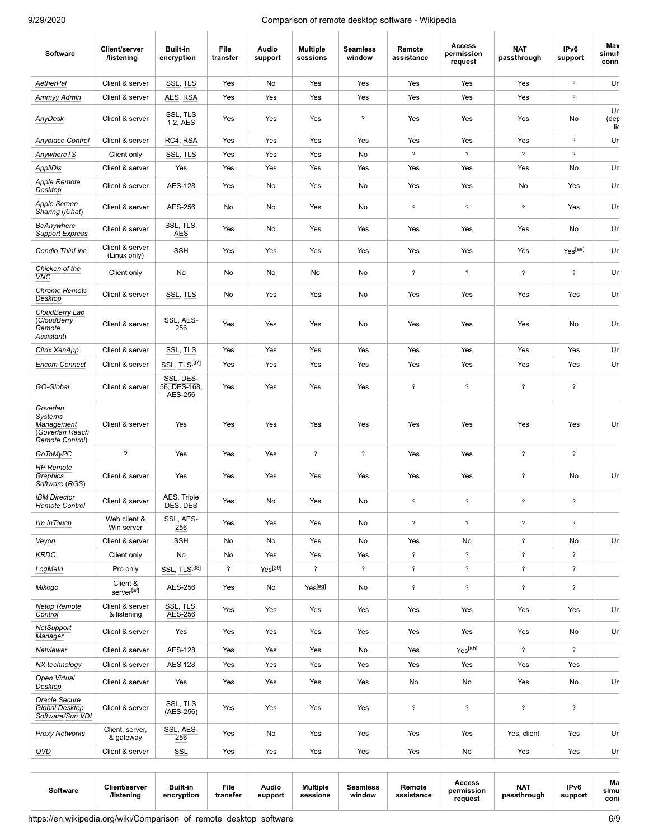| <b>Software</b>                                                                      | <b>Client/server</b><br>/listening | <b>Built-in</b><br>encryption        | File<br>transfer         | Audio<br>support    | <b>Multiple</b><br>sessions | <b>Seamless</b><br>window | Remote<br>assistance     | <b>Access</b><br>permission<br>request | <b>NAT</b><br>passthrough | IPv6<br>support          | Max<br>simuli<br>conn |
|--------------------------------------------------------------------------------------|------------------------------------|--------------------------------------|--------------------------|---------------------|-----------------------------|---------------------------|--------------------------|----------------------------------------|---------------------------|--------------------------|-----------------------|
| AetherPal                                                                            | Client & server                    | SSL, TLS                             | Yes                      | No                  | Yes                         | Yes                       | Yes                      | Yes                                    | Yes                       | $\gamma$                 | Ur                    |
| Ammyy Admin                                                                          | Client & server                    | AES, RSA                             | Yes                      | Yes                 | Yes                         | Yes                       | Yes                      | Yes                                    | Yes                       | $\boldsymbol{\hat{?}}$   |                       |
| AnyDesk                                                                              | Client & server                    | SSL, TLS<br>1.2, AES                 | Yes                      | Yes                 | Yes                         | $\overline{\phantom{a}}$  | Yes                      | Yes                                    | Yes                       | No                       | Ur<br>(der<br>lic     |
| Anyplace Control                                                                     | Client & server                    | RC4, RSA                             | Yes                      | Yes                 | Yes                         | Yes                       | Yes                      | Yes                                    | Yes                       | $\gamma$                 | Ur                    |
| AnywhereTS                                                                           | Client only                        | SSL, TLS                             | Yes                      | Yes                 | Yes                         | No                        | $\boldsymbol{\hat{?}}$   | $\overline{\mathcal{C}}$               | $\overline{\mathcal{E}}$  | $\boldsymbol{\hat{?}}$   |                       |
| <b>AppliDis</b>                                                                      | Client & server                    | Yes                                  | Yes                      | Yes                 | Yes                         | Yes                       | Yes                      | Yes                                    | Yes                       | No                       | Ur                    |
| <b>Apple Remote</b><br>Desktop                                                       | Client & server                    | <b>AES-128</b>                       | Yes                      | No                  | Yes                         | No                        | Yes                      | Yes                                    | No                        | Yes                      | Ur                    |
| Apple Screen<br>Sharing (iChat)                                                      | Client & server                    | AES-256                              | No                       | No                  | Yes                         | No                        | $\boldsymbol{\hat{?}}$   | $\overline{\phantom{a}}$               | $\overline{\phantom{a}}$  | Yes                      | Ur                    |
| BeAnywhere<br><b>Support Express</b>                                                 | Client & server                    | SSL, TLS,<br><b>AES</b>              | Yes                      | No                  | Yes                         | Yes                       | Yes                      | Yes                                    | Yes                       | No                       | Ur                    |
| Cendio ThinLinc                                                                      | Client & server<br>(Linux only)    | <b>SSH</b>                           | Yes                      | Yes                 | Yes                         | Yes                       | Yes                      | Yes                                    | Yes                       | Yes <sup>[ae]</sup>      | Ur                    |
| Chicken of the<br><b>VNC</b>                                                         | Client only                        | No                                   | No                       | No                  | No                          | No                        | $\overline{\phantom{a}}$ | $\overline{\phantom{a}}$               | $\overline{\phantom{a}}$  | $\overline{\phantom{a}}$ | Ur                    |
| <b>Chrome Remote</b><br>Desktop                                                      | Client & server                    | SSL, TLS                             | No                       | Yes                 | Yes                         | No                        | Yes                      | Yes                                    | Yes                       | Yes                      | Ur                    |
| CloudBerry Lab<br>(CloudBerry<br>Remote<br>Assistant)                                | Client & server                    | SSL, AES-<br>256                     | Yes                      | Yes                 | Yes                         | No                        | Yes                      | Yes                                    | Yes                       | No                       | Ur                    |
| Citrix XenApp                                                                        | Client & server                    | SSL, TLS                             | Yes                      | Yes                 | Yes                         | Yes                       | Yes                      | Yes                                    | Yes                       | Yes                      | Ur                    |
| <b>Ericom Connect</b>                                                                | Client & server                    | SSL, TLS[37]                         | Yes                      | Yes                 | Yes                         | Yes                       | Yes                      | Yes                                    | Yes                       | Yes                      | Ur                    |
| GO-Global                                                                            | Client & server                    | SSL, DES-<br>56, DES-168,<br>AES-256 | Yes                      | Yes                 | Yes                         | Yes                       | $\boldsymbol{\hat{?}}$   | ?                                      | $\boldsymbol{\hat{?}}$    | $\boldsymbol{\hat{?}}$   |                       |
| Goverlan<br><b>Systems</b><br><b>Management</b><br>Goverlan Reach<br>Remote Control) | Client & server                    | Yes                                  | Yes                      | Yes                 | Yes                         | Yes                       | Yes                      | Yes                                    | Yes                       | Yes                      | Ur                    |
| GoToMyPC                                                                             | ?                                  | Yes                                  | Yes                      | Yes                 | $\overline{?}$              | $\overline{?}$            | Yes                      | Yes                                    | $\gamma$                  | $\overline{\mathcal{E}}$ |                       |
| <b>HP</b> Remote<br>Graphics<br>Software (RGS)                                       | Client & server                    | Yes                                  | Yes                      | Yes                 | Yes                         | Yes                       | Yes                      | Yes                                    | $\boldsymbol{\hat{z}}$    | No                       | Ur                    |
| <b>IBM Director</b><br>Remote Control                                                | Client & server                    | AES, Triple<br>DES, DES              | Yes                      | No                  | Yes                         | No                        | $\boldsymbol{\hat{?}}$   | $\overline{\phantom{a}}$               | $\overline{\mathcal{E}}$  | $\tilde{?}$              |                       |
| I'm InTouch                                                                          | Web client &<br>Win server         | SSL, AES-<br>256                     | Yes                      | Yes                 | Yes                         | No                        | $\boldsymbol{\hat{?}}$   | $\overline{\phantom{a}}$               | $\overline{\phantom{a}}$  | $\boldsymbol{\hat{?}}$   |                       |
| Veyon                                                                                | Client & server                    | SSH                                  | No                       | No                  | Yes                         | No                        | Yes                      | No                                     | $\overline{\mathcal{E}}$  | No                       | Ur                    |
| <b>KRDC</b>                                                                          | Client only                        | No                                   | No                       | Yes                 | Yes                         | Yes                       | $\boldsymbol{?}$         | $\overline{\mathcal{E}}$               | $\overline{\mathcal{E}}$  | $\gamma$                 |                       |
| LogMeIn                                                                              | Pro only                           | SSL, TLS[38]                         | $\overline{\mathcal{E}}$ | Yes <sup>[39]</sup> | $\overline{?}$              | $\overline{?}$            | $\overline{\mathcal{E}}$ | $\overline{?}$                         | $\overline{\phantom{a}}$  | $\overline{\mathcal{E}}$ |                       |
| Mikogo                                                                               | Client &<br>server[af]             | AES-256                              | Yes                      | No                  | Yes[ag]                     | No                        | $\overline{\mathcal{E}}$ | $\overline{\phantom{a}}$               | $\overline{\mathcal{E}}$  | $\overline{\mathcal{E}}$ |                       |
| <b>Netop Remote</b><br>Control                                                       | Client & server<br>& listening     | SSL, TLS,<br>AES-256                 | Yes                      | Yes                 | Yes                         | Yes                       | Yes                      | Yes                                    | Yes                       | Yes                      | Ur                    |
| NetSupport<br><b>Manager</b>                                                         | Client & server                    | Yes                                  | Yes                      | Yes                 | Yes                         | Yes                       | Yes                      | Yes                                    | Yes                       | No                       | Ur                    |
| Netviewer                                                                            | Client & server                    | <b>AES-128</b>                       | Yes                      | Yes                 | Yes                         | No                        | Yes                      | Yes <sup>[ah]</sup>                    | $\overline{\phantom{a}}$  | $\overline{\mathcal{E}}$ |                       |
| NX technology                                                                        | Client & server                    | <b>AES 128</b>                       | Yes                      | Yes                 | Yes                         | Yes                       | Yes                      | Yes                                    | Yes                       | Yes                      |                       |
| Open Virtual<br>Desktop                                                              | Client & server                    | Yes                                  | Yes                      | Yes                 | Yes                         | Yes                       | No                       | No                                     | Yes                       | No                       | Ur                    |
| Oracle Secure<br>Global Desktop<br>Software/Sun VDI                                  | Client & server                    | SSL, TLS<br>$(AES-256)$              | Yes                      | Yes                 | Yes                         | Yes                       | $\gamma$                 | $\overline{\phantom{a}}$               | $\overline{\phantom{a}}$  | $\boldsymbol{\hat{?}}$   |                       |
| <b>Proxy Networks</b>                                                                | Client, server,<br>& gateway       | SSL, AES-<br>256                     | Yes                      | No                  | Yes                         | Yes                       | Yes                      | Yes                                    | Yes, client               | Yes                      | Ur                    |
| QVD                                                                                  | Client & server                    | SSL                                  | Yes                      | Yes                 | Yes                         | Yes                       | Yes                      | No                                     | Yes                       | Yes                      | Ur                    |

| Software | Client/server<br><b>'listening</b> | Built-in<br>encryption | File<br>transfer | <b>Audio</b><br>support | <b>Multiple</b><br>sessions | Seamless<br>window | Remote<br>าssistance | Access<br>permission<br>reauest | NA <sup>®</sup><br>passthrough | IP <sub>v6</sub><br>support | Ma<br>simu<br>coni |
|----------|------------------------------------|------------------------|------------------|-------------------------|-----------------------------|--------------------|----------------------|---------------------------------|--------------------------------|-----------------------------|--------------------|
|----------|------------------------------------|------------------------|------------------|-------------------------|-----------------------------|--------------------|----------------------|---------------------------------|--------------------------------|-----------------------------|--------------------|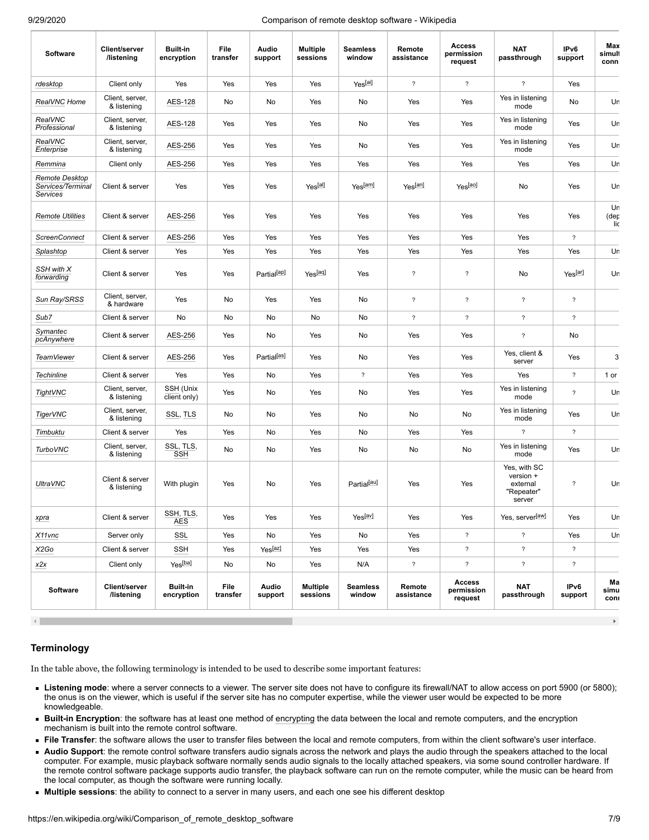| <b>Software</b>                                        | Client/server<br>/listening        | <b>Built-in</b><br>encryption | File<br>transfer | Audio<br>support        | <b>Multiple</b><br>sessions | <b>Seamless</b><br>window | Remote<br>assistance     | <b>Access</b><br>permission<br>request | <b>NAT</b><br>passthrough                                     | IPv6<br>support          | Max<br>simuli<br>conn |
|--------------------------------------------------------|------------------------------------|-------------------------------|------------------|-------------------------|-----------------------------|---------------------------|--------------------------|----------------------------------------|---------------------------------------------------------------|--------------------------|-----------------------|
| rdesktop                                               | Client only                        | Yes                           | Yes              | Yes                     | Yes                         | Yes <sup>[ai]</sup>       | $\overline{?}$           | $\overline{?}$                         | $\gamma$                                                      | Yes                      |                       |
| RealVNC Home                                           | Client, server,<br>& listening     | AES-128                       | No               | No                      | Yes                         | No                        | Yes                      | Yes                                    | Yes in listening<br>mode                                      | No                       | Ur                    |
| RealVNC<br>Professional                                | Client, server,<br>& listening     | AES-128                       | Yes              | Yes                     | Yes                         | No                        | Yes                      | Yes                                    | Yes in listening<br>mode                                      | Yes                      | Ur                    |
| <b>RealVNC</b><br>Enterprise                           | Client, server,<br>& listening     | AES-256                       | Yes              | Yes                     | Yes                         | No                        | Yes                      | Yes                                    | Yes in listening<br>mode                                      | Yes                      | Ur                    |
| Remmina                                                | Client only                        | AES-256                       | Yes              | Yes                     | Yes                         | Yes                       | Yes                      | Yes                                    | Yes                                                           | Yes                      | Ur                    |
| <b>Remote Desktop</b><br>Services/Terminal<br>Services | Client & server                    | Yes                           | Yes              | Yes                     | Yes <sup>[al]</sup>         | Yes[am]                   | Yes <sup>[an]</sup>      | Yes <sup>[ao]</sup>                    | No                                                            | Yes                      | Ur                    |
| <b>Remote Utilities</b>                                | Client & server                    | AES-256                       | Yes              | Yes                     | Yes                         | Yes                       | Yes                      | Yes                                    | Yes                                                           | Yes                      | Ur<br>(der<br>lic     |
| <b>ScreenConnect</b>                                   | Client & server                    | AES-256                       | Yes              | Yes                     | Yes                         | Yes                       | Yes                      | Yes                                    | Yes                                                           | $\overline{\phantom{a}}$ |                       |
| Splashtop                                              | Client & server                    | Yes                           | Yes              | Yes                     | Yes                         | Yes                       | Yes                      | Yes                                    | Yes                                                           | Yes                      | Ur                    |
| SSH with X<br>forwarding                               | Client & server                    | Yes                           | Yes              | Partial <sup>[ap]</sup> | Yes <sup>[aq]</sup>         | Yes                       | $\overline{\phantom{a}}$ | $\overline{\mathcal{E}}$               | No                                                            | Yes <sup>[ar]</sup>      | Ur                    |
| Sun Ray/SRSS                                           | Client, server,<br>& hardware      | Yes                           | No               | Yes                     | Yes                         | No                        | $\overline{\phantom{a}}$ | $\gamma$                               | $\overline{\mathcal{E}}$                                      | $\overline{\phantom{a}}$ |                       |
| Sub7                                                   | Client & server                    | No                            | No               | No                      | No                          | No                        | $\overline{?}$           | $\gamma$                               | $\overline{\mathcal{E}}$                                      | $\overline{\phantom{0}}$ |                       |
| Symantec<br>pcAnywhere                                 | Client & server                    | AES-256                       | Yes              | No                      | Yes                         | No                        | Yes                      | Yes                                    | $\overline{\mathcal{E}}$                                      | No                       |                       |
| <b>TeamViewer</b>                                      | Client & server                    | AES-256                       | Yes              | Partial <sup>[as]</sup> | Yes                         | No                        | Yes                      | Yes                                    | Yes, client &<br>server                                       | Yes                      | 3                     |
| <b>Techinline</b>                                      | Client & server                    | Yes                           | Yes              | No                      | Yes                         | $\overline{\mathcal{E}}$  | Yes                      | Yes                                    | Yes                                                           | $\tilde{?}$              | 1 or                  |
| TightVNC                                               | Client, server,<br>& listening     | SSH (Unix<br>client only)     | Yes              | No                      | Yes                         | No                        | Yes                      | Yes                                    | Yes in listening<br>mode                                      | $\overline{\phantom{a}}$ | Ur                    |
| <b>TigerVNC</b>                                        | Client, server,<br>& listening     | SSL, TLS                      | No               | No                      | Yes                         | No                        | No                       | No                                     | Yes in listening<br>mode                                      | Yes                      | Ur                    |
| <b>Timbuktu</b>                                        | Client & server                    | Yes                           | Yes              | No                      | Yes                         | No                        | Yes                      | Yes                                    | $\overline{\mathcal{E}}$                                      | $\overline{?}$           |                       |
| <b>TurboVNC</b>                                        | Client, server,<br>& listening     | SSL, TLS,<br><b>SSH</b>       | No               | No                      | Yes                         | No                        | No                       | No                                     | Yes in listening<br>mode                                      | Yes                      | Ur                    |
| <b>UltraVNC</b>                                        | Client & server<br>& listening     | With plugin                   | Yes              | No                      | Yes                         | Partial <sup>[au]</sup>   | Yes                      | Yes                                    | Yes, with SC<br>version +<br>external<br>"Repeater"<br>server | $\overline{\phantom{a}}$ | Ur                    |
| xpra                                                   | Client & server                    | SSH, TLS,<br><b>AES</b>       | Yes              | Yes                     | Yes                         | Yes <sup>[av]</sup>       | Yes                      | Yes                                    | Yes, server[aw]                                               | Yes                      | Ur                    |
| X11vnc                                                 | Server only                        | SSL                           | Yes              | No                      | Yes                         | No                        | Yes                      | $\overline{\phantom{a}}$               | $\overline{\mathcal{E}}$                                      | Yes                      | Ur                    |
| X2Go                                                   | Client & server                    | SSH                           | Yes              | Yes[az]                 | Yes                         | Yes                       | Yes                      | $\overline{\phantom{a}}$               | $\overline{\mathcal{E}}$                                      | $\overline{\mathcal{E}}$ |                       |
| x2x                                                    | Client only                        | Yes <sup>[ba]</sup>           | No               | No                      | Yes                         | N/A                       | $\overline{\mathcal{E}}$ | $\overline{\phantom{a}}$               | $\overline{\mathcal{E}}$                                      | $\overline{\phantom{a}}$ |                       |
| <b>Software</b>                                        | Client/server<br><b>/listening</b> | <b>Built-in</b><br>encryption | File<br>transfer | Audio<br>support        | <b>Multiple</b><br>sessions | <b>Seamless</b><br>window | Remote<br>assistance     | <b>Access</b><br>permission<br>request | <b>NAT</b><br>passthrough                                     | IPv6<br>support          | Ма<br>simu<br>coni    |

#### <span id="page-6-0"></span>**Terminology**

In the table above, the following terminology is intended to be used to describe some important features:

- **Listening mode**: where a server connects to a viewer. The server site does not have to configure its firewall/NAT to allow access on port 5900 (or 5800); the onus is on the viewer, which is useful if the server site has no computer expertise, while the viewer user would be expected to be more knowledgeable.
- **Built-in Encryption**: the software has at least one method of [encrypting](https://en.wikipedia.org/wiki/Encryption) the data between the local and remote computers, and the encryption mechanism is built into the remote control software.
- **File Transfer**: the software allows the user to transfer files between the local and remote computers, from within the client software's user interface.
- **Audio Support**: the remote control software transfers audio signals across the network and plays the audio through the speakers attached to the local computer. For example, music playback software normally sends audio signals to the locally attached speakers, via some sound controller hardware. If the remote control software package supports audio transfer, the playback software can run on the remote computer, while the music can be heard from the local computer, as though the software were running locally.
- **Multiple sessions**: the ability to connect to a server in many users, and each one see his different desktop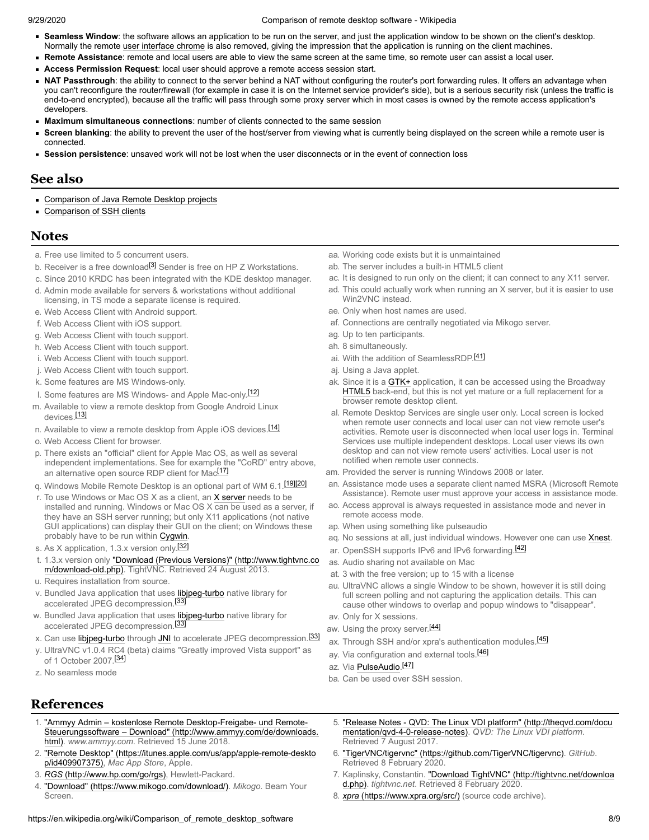- **Seamless Window**: the software allows an application to be run on the server, and just the application window to be shown on the client's desktop. Normally the remote [user interface chrome](https://en.wikipedia.org/wiki/User_interface_chrome) is also removed, giving the impression that the application is running on the client machines.
- **Remote Assistance**: remote and local users are able to view the same screen at the same time, so remote user can assist a local user.
- **Access Permission Request**: local user should approve a remote access session start.
- **NAT Passthrough**: the ability to connect to the server behind a NAT without configuring the router's port forwarding rules. It offers an advantage when you can't reconfigure the router/firewall (for example in case it is on the Internet service provider's side), but is a serious security risk (unless the traffic is end-to-end encrypted), because all the traffic will pass through some proxy server which in most cases is owned by the remote access application's developers.
- **Maximum simultaneous connections**: number of clients connected to the same session
- $\blacksquare$ **Screen blanking**: the ability to prevent the user of the host/server from viewing what is currently being displayed on the screen while a remote user is connected.
- **Session persistence**: unsaved work will not be lost when the user disconnects or in the event of connection loss

## <span id="page-7-0"></span>**See also**

- **[Comparison of Java Remote Desktop projects](https://en.wikipedia.org/wiki/Comparison_of_Java_Remote_Desktop_projects)**
- [Comparison of SSH clients](https://en.wikipedia.org/wiki/Comparison_of_SSH_clients)

## <span id="page-7-1"></span>**Notes**

- <span id="page-7-5"></span>a. Free use limited to 5 concurrent users.
- <span id="page-7-6"></span>b. Receiver is a free download<sup>[\[3\]](#page-7-53)</sup> Sender is free on HP Z Workstations.
- <span id="page-7-7"></span>c. Since 2010 KRDC has been integrated with the KDE desktop manager.
- <span id="page-7-10"></span>d. Admin mode available for servers & workstations without additional licensing, in TS mode a separate license is required.
- <span id="page-7-14"></span>e. Web Access Client with Android support.
- <span id="page-7-15"></span>f. Web Access Client with iOS support.
- <span id="page-7-16"></span>g. Web Access Client with touch support.
- <span id="page-7-17"></span>h. Web Access Client with touch support.
- i. Web Access Client with touch support.
- j. Web Access Client with touch support.
- <span id="page-7-18"></span>k. Some features are MS Windows-only.
- <span id="page-7-19"></span>l. Some features are MS Windows- and Apple Mac-only.[\[12\]](#page-8-20)
- <span id="page-7-20"></span>m. Available to view a remote desktop from Google Android Linux devices.<sup>[\[13\]](#page-8-21)</sup>
- <span id="page-7-21"></span>n. Available to view a remote desktop from Apple iOS devices.<sup>[\[14\]](#page-8-22)</sup>
- o. Web Access Client for browser.
- <span id="page-7-22"></span>p. There exists an "official" client for Apple Mac OS, as well as several independent implementations. See for example the "CoRD" entry above, an alternative open source RDP client for Mac<sup>[\[17\]](#page-8-23)</sup>
- q. Windows Mobile Remote Desktop is an optional part of WM 6.1.<sup>[\[19\]](#page-8-24)[\[20\]](#page-8-25)</sup>
- <span id="page-7-23"></span>r. To use Windows or Mac OS X as a client, an [X server](https://en.wikipedia.org/wiki/X_Window_System) needs to be installed and running. Windows or Mac OS  $X \overline{can}$  be used as a server, if they have an SSH server running; but only X11 applications (not native GUI applications) can display their GUI on the client; on Windows these probably have to be run within [Cygwin.](https://en.wikipedia.org/wiki/Cygwin)
- <span id="page-7-24"></span>s. As X application, 1.3.x version only.[\[32\]](#page-8-26)
- <span id="page-7-25"></span>t. [1.3.x version only "Download \(Previous Versions\)" \(http://www.tightvnc.co](http://www.tightvnc.com/download-old.php) m/download-old.php). TightVNC. Retrieved 24 August 2013.
- <span id="page-7-26"></span>u. Requires installation from source.
- <span id="page-7-27"></span>v. Bundled Java application that uses [libjpeg-turbo](https://en.wikipedia.org/wiki/Libjpeg-turbo) native library for accelerated JPEG decompression.<sup>[\[33\]](#page-8-27)</sup>
- <span id="page-7-28"></span>w. Bundled Java application that uses [libjpeg-turbo](https://en.wikipedia.org/wiki/Libjpeg-turbo) native library for accelerated JPEG decompression.<sup>[\[33\]](#page-8-27)</sup>
- <span id="page-7-29"></span>x. Can use [libjpeg-turbo](https://en.wikipedia.org/wiki/Libjpeg-turbo) through [JNI](https://en.wikipedia.org/wiki/JNI) to accelerate JPEG decompression.<sup>[\[33\]](#page-8-27)</sup>
- <span id="page-7-30"></span>y. UltraVNC v1.0.4 RC4 (beta) claims "Greatly improved Vista support" as of 1 October 2007.<sup>[\[34\]](#page-8-28)</sup>
- <span id="page-7-31"></span>z. No seamless mode

## <span id="page-7-2"></span>**References**

- <span id="page-7-3"></span>1. "Ammyy Admin – kostenlose Remote Desktop-Freigabe- und Remote-[Steuerungssoftware – Download" \(http://www.ammyy.com/de/downloads.](http://www.ammyy.com/de/downloads.html) html). *www.ammyy.com*. Retrieved 15 June 2018.
- <span id="page-7-4"></span>2. ["Remote Desktop" \(https://itunes.apple.com/us/app/apple-remote-deskto](https://itunes.apple.com/us/app/apple-remote-desktop/id409907375) p/id409907375), *Mac App Store*, Apple.
- <span id="page-7-53"></span>3. *RGS* [\(http://www.hp.com/go/rgs\)](http://www.hp.com/go/rgs), Hewlett-Packard.
- <span id="page-7-8"></span>4. ["Download" \(https://www.mikogo.com/download/\)](https://www.mikogo.com/download/). *Mikogo*. Beam Your Screen.
- <span id="page-7-32"></span>aa. Working code exists but it is unmaintained
- ab. The server includes a built-in HTML5 client
- <span id="page-7-33"></span>ac. It is designed to run only on the client; it can connect to any X11 server.
- <span id="page-7-34"></span>ad. This could actually work when running an X server, but it is easier to use Win2VNC instead.
- <span id="page-7-35"></span>ae. Only when host names are used.
- <span id="page-7-36"></span>af. Connections are centrally negotiated via Mikogo server.
- <span id="page-7-37"></span>ag. Up to ten participants.
- <span id="page-7-38"></span>ah. 8 simultaneously.
- <span id="page-7-39"></span>ai. With the addition of SeamlessRDP.<sup>[\[41\]](#page-8-29)</sup>
- aj. Using a Java applet.
- ak. Since it is a [GTK+](https://en.wikipedia.org/wiki/GTK%2B) application, it can be accessed using the Broadway [HTML5](https://en.wikipedia.org/wiki/HTML5) back-end, but this is not yet mature or a full replacement for a browser remote desktop client.
- <span id="page-7-40"></span>al. Remote Desktop Services are single user only. Local screen is locked when remote user connects and local user can not view remote user's activities. Remote user is disconnected when local user logs in. Terminal Services use multiple independent desktops. Local user views its own desktop and can not view remote users' activities. Local user is not notified when remote user connects.
- <span id="page-7-41"></span>am. Provided the server is running Windows 2008 or later.
- <span id="page-7-42"></span>an. Assistance mode uses a separate client named MSRA (Microsoft Remote Assistance). Remote user must approve your access in assistance mode.
- <span id="page-7-43"></span>ao. Access approval is always requested in assistance mode and never in remote access mode.
- <span id="page-7-44"></span>ap. When using something like pulseaudio
- <span id="page-7-45"></span>aq. No sessions at all, just individual windows. However one can use [Xnest.](https://en.wikipedia.org/w/index.php?title=Xnest&action=edit&redlink=1)
- <span id="page-7-46"></span>ar. OpenSSH supports IPv6 and IPv6 forwarding.<sup>[\[42\]](#page-8-30)</sup>
- <span id="page-7-47"></span>as. Audio sharing not available on Mac
- at. 3 with the free version; up to 15 with a license
- <span id="page-7-48"></span>au. UltraVNC allows a single Window to be shown, however it is still doing full screen polling and not capturing the application details. This can cause other windows to overlap and popup windows to "disappear".
- <span id="page-7-49"></span>av. Only for X sessions.
- <span id="page-7-50"></span>aw. Using the proxy server.<sup>[\[44\]](#page-8-31)</sup>
- ax. Through SSH and/or xpra's authentication modules.<sup>[\[45\]](#page-8-32)</sup>
- ay. Via configuration and external tools.<sup>[\[46\]](#page-8-33)</sup>
- <span id="page-7-51"></span>az. Via **[PulseAudio](https://en.wikipedia.org/wiki/PulseAudio)**.<sup>[\[47\]](#page-8-34)</sup>
- <span id="page-7-52"></span>ba. Can be used over SSH session.
- <span id="page-7-9"></span>5. ["Release Notes - QVD: The Linux VDI platform" \(http://theqvd.com/docu](http://theqvd.com/documentation/qvd-4-0-release-notes) mentation/qvd-4-0-release-notes). *QVD: The Linux VDI platform*. Retrieved 7 August 2017.
- <span id="page-7-11"></span>6. ["TigerVNC/tigervnc" \(https://github.com/TigerVNC/tigervnc\)](https://github.com/TigerVNC/tigervnc). *GitHub*. Retrieved 8 February 2020.
- <span id="page-7-12"></span>7. [Kaplinsky, Constantin. "Download TightVNC" \(http://tightvnc.net/downloa](http://tightvnc.net/download.php) d.php). *tightvnc.net*. Retrieved 8 February 2020.
- <span id="page-7-13"></span>8. *xpra* [\(https://www.xpra.org/src/\)](https://www.xpra.org/src/) (source code archive).